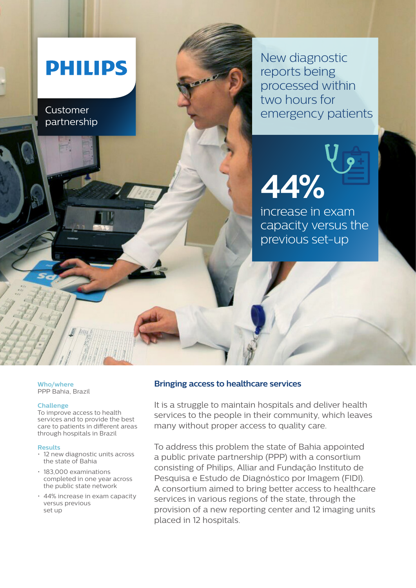# **PHILIPS**

Customer partnership New diagnostic reports being processed within two hours for emergency patients

**44%** 

increase in exam

previous set-up

capacity versus the

**Who/where** PPP Bahia, Brazil

## **Challenge**

To improve access to health services and to provide the best care to patients in different areas through hospitals in Brazil

## **Results**

- 12 new diagnostic units across the state of Bahia
- 183,000 examinations completed in one year across the public state network
- 44% increase in exam capacity versus previous set up

## **Bringing access to healthcare services**

It is a struggle to maintain hospitals and deliver health services to the people in their community, which leaves many without proper access to quality care.

To address this problem the state of Bahia appointed a public private partnership (PPP) with a consortium consisting of Philips, Alliar and Fundação Instituto de Pesquisa e Estudo de Diagnóstico por Imagem (FIDI). A consortium aimed to bring better access to healthcare services in various regions of the state, through the provision of a new reporting center and 12 imaging units placed in 12 hospitals.